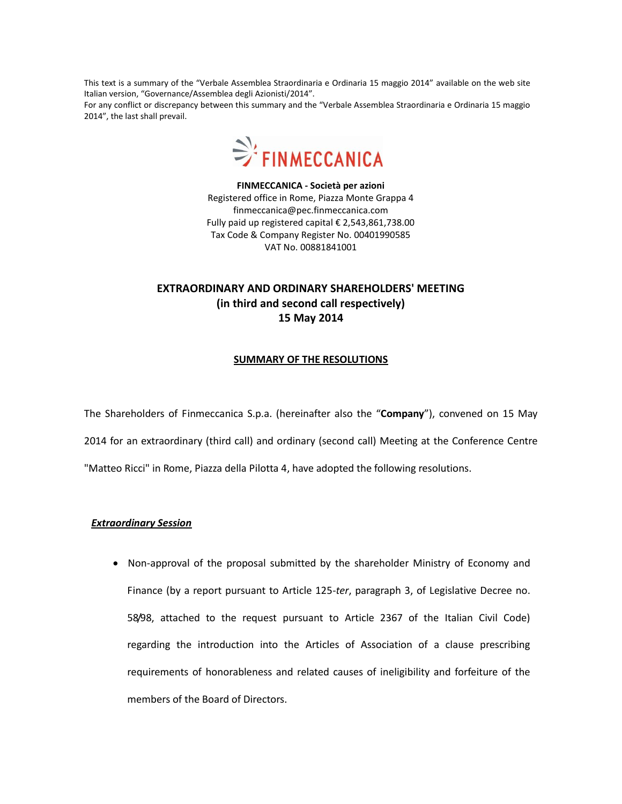This text is a summary of the "Verbale Assemblea Straordinaria e Ordinaria 15 maggio 2014" available on the web site Italian version, "Governance/Assemblea degli Azionisti/2014".

For any conflict or discrepancy between this summary and the "Verbale Assemblea Straordinaria e Ordinaria 15 maggio 2014", the last shall prevail.



**FINMECCANICA - Società per azioni** Registered office in Rome, Piazza Monte Grappa 4 finmeccanica@pec.finmeccanica.com Fully paid up registered capital € 2,543,861,738.00 Tax Code & Company Register No. 00401990585 VAT No. 00881841001

## **EXTRAORDINARY AND ORDINARY SHAREHOLDERS' MEETING (in third and second call respectively) 15 May 2014**

## **SUMMARY OF THE RESOLUTIONS**

The Shareholders of Finmeccanica S.p.a. (hereinafter also the "**Company**"), convened on 15 May 2014 for an extraordinary (third call) and ordinary (second call) Meeting at the Conference Centre "Matteo Ricci" in Rome, Piazza della Pilotta 4, have adopted the following resolutions.

## *Extraordinary Session*

• Non-approval of the proposal submitted by the shareholder Ministry of Economy and Finance (by a report pursuant to Article 125-*ter*, paragraph 3, of Legislative Decree no. 58/98, attached to the request pursuant to Article 2367 of the Italian Civil Code) regarding the introduction into the Articles of Association of a clause prescribing requirements of honorableness and related causes of ineligibility and forfeiture of the members of the Board of Directors.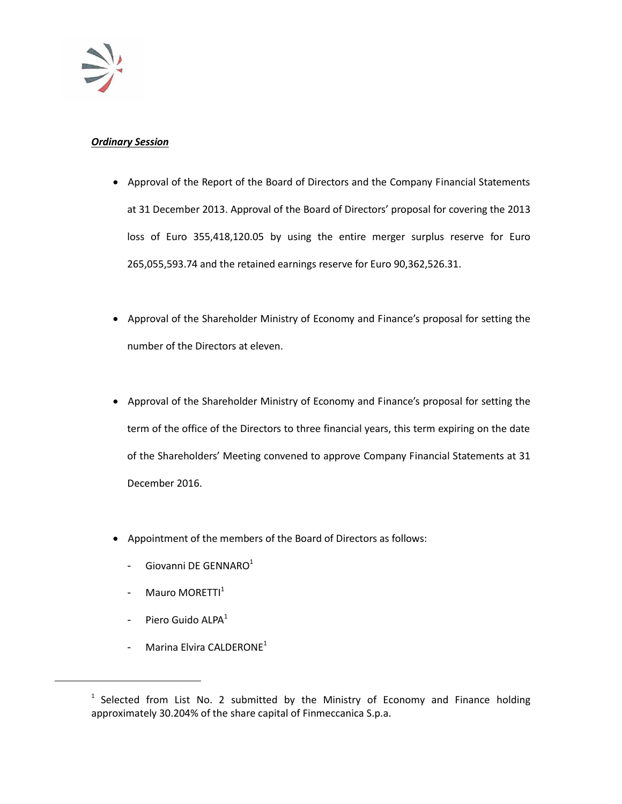

## *Ordinary Session*

- Approval of the Report of the Board of Directors and the Company Financial Statements at 31 December 2013. Approval of the Board of Directors' proposal for covering the 2013 loss of Euro 355,418,120.05 by using the entire merger surplus reserve for Euro 265,055,593.74 and the retained earnings reserve for Euro 90,362,526.31.
- Approval of the Shareholder Ministry of Economy and Finance's proposal for setting the number of the Directors at eleven.
- Approval of the Shareholder Ministry of Economy and Finance's proposal for setting the term of the office of the Directors to three financial years, this term expiring on the date of the Shareholders' Meeting convened to approve Company Financial Statements at 31 December 2016.
- Appointment of the members of the Board of Directors as follows:
	- Giovanni DE GENNARO<sup>1</sup>
	- Mauro MORETTI<sup>1</sup>
	- Piero Guido ALPA<sup>1</sup>

 $\overline{a}$ 

Marina Elvira CALDERONE $^1$ 

 $1$  Selected from List No. 2 submitted by the Ministry of Economy and Finance holding approximately 30.204% of the share capital of Finmeccanica S.p.a.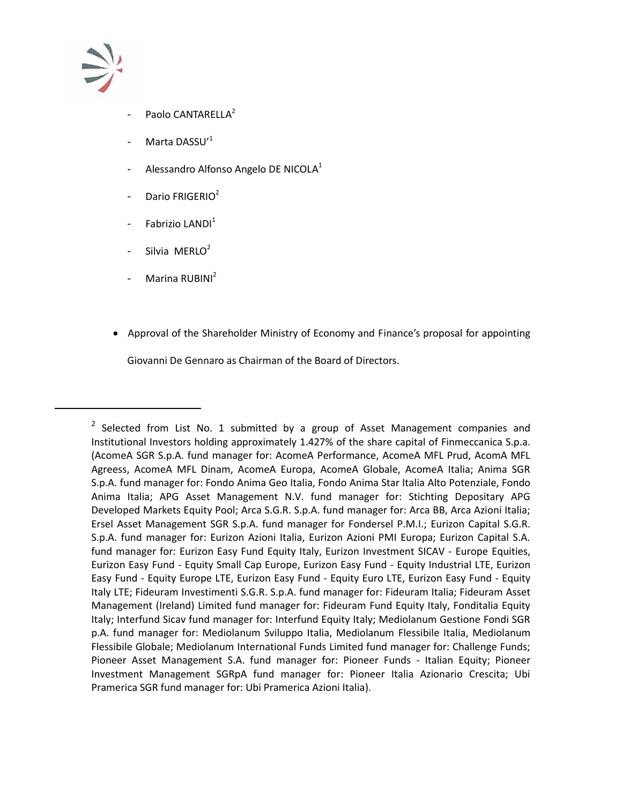

 $\overline{a}$ 

- Paolo CANTARELLA<sup>2</sup>
- Marta DASSU' $1$
- Alessandro Alfonso Angelo DE NICOLA $<sup>1</sup>$ </sup>
- Dario FRIGERIO<sup>2</sup>
- Fabrizio LANDI<sup>1</sup>
- Silvia MERLO $2$
- Marina RUBINI<sup>2</sup>
- Approval of the Shareholder Ministry of Economy and Finance's proposal for appointing Giovanni De Gennaro as Chairman of the Board of Directors.

 $2$  Selected from List No. 1 submitted by a group of Asset Management companies and Institutional Investors holding approximately 1.427% of the share capital of Finmeccanica S.p.a. (AcomeA SGR S.p.A. fund manager for: AcomeA Performance, AcomeA MFL Prud, AcomA MFL Agreess, AcomeA MFL Dinam, AcomeA Europa, AcomeA Globale, AcomeA Italia; Anima SGR S.p.A. fund manager for: Fondo Anima Geo Italia, Fondo Anima Star Italia Alto Potenziale, Fondo Anima Italia; APG Asset Management N.V. fund manager for: Stichting Depositary APG Developed Markets Equity Pool; Arca S.G.R. S.p.A. fund manager for: Arca BB, Arca Azioni Italia; Ersel Asset Management SGR S.p.A. fund manager for Fondersel P.M.I.; Eurizon Capital S.G.R. S.p.A. fund manager for: Eurizon Azioni Italia, Eurizon Azioni PMI Europa; Eurizon Capital S.A. fund manager for: Eurizon Easy Fund Equity Italy, Eurizon Investment SICAV - Europe Equities, Eurizon Easy Fund - Equity Small Cap Europe, Eurizon Easy Fund - Equity Industrial LTE, Eurizon Easy Fund - Equity Europe LTE, Eurizon Easy Fund - Equity Euro LTE, Eurizon Easy Fund - Equity Italy LTE; Fideuram Investimenti S.G.R. S.p.A. fund manager for: Fideuram Italia; Fideuram Asset Management (Ireland) Limited fund manager for: Fideuram Fund Equity Italy, Fonditalia Equity Italy; Interfund Sicav fund manager for: Interfund Equity Italy; Mediolanum Gestione Fondi SGR p.A. fund manager for: Mediolanum Sviluppo Italia, Mediolanum Flessibile Italia, Mediolanum Flessibile Globale; Mediolanum International Funds Limited fund manager for: Challenge Funds; Pioneer Asset Management S.A. fund manager for: Pioneer Funds - Italian Equity; Pioneer Investment Management SGRpA fund manager for: Pioneer Italia Azionario Crescita; Ubi Pramerica SGR fund manager for: Ubi Pramerica Azioni Italia).